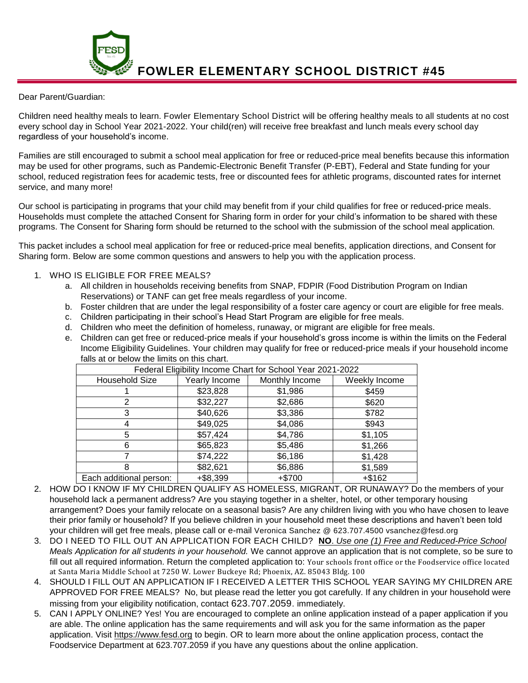**FOWLER ELEMENTARY SCHOOL DISTRICT #45**

## Dear Parent/Guardian:

Children need healthy meals to learn. Fowler Elementary School District will be offering healthy meals to all students at no cost every school day in School Year 2021-2022. Your child(ren) will receive free breakfast and lunch meals every school day regardless of your household's income.

Families are still encouraged to submit a school meal application for free or reduced-price meal benefits because this information may be used for other programs, such as Pandemic-Electronic Benefit Transfer (P-EBT), Federal and State funding for your school, reduced registration fees for academic tests, free or discounted fees for athletic programs, discounted rates for internet service, and many more!

Our school is participating in programs that your child may benefit from if your child qualifies for free or reduced-price meals. Households must complete the attached Consent for Sharing form in order for your child's information to be shared with these programs. The Consent for Sharing form should be returned to the school with the submission of the school meal application.

This packet includes a school meal application for free or reduced-price meal benefits, application directions, and Consent for Sharing form. Below are some common questions and answers to help you with the application process.

## 1. WHO IS ELIGIBLE FOR FREE MEALS?

- a. All children in households receiving benefits from SNAP, FDPIR (Food Distribution Program on Indian Reservations) or TANF can get free meals regardless of your income.
- b. Foster children that are under the legal responsibility of a foster care agency or court are eligible for free meals.
- c. Children participating in their school's Head Start Program are eligible for free meals.
- d. Children who meet the definition of homeless, runaway, or migrant are eligible for free meals.
- e. Children can get free or reduced-price meals if your household's gross income is within the limits on the Federal Income Eligibility Guidelines. Your children may qualify for free or reduced-price meals if your household income falls at or below the limits on this chart.

| Federal Eligibility Income Chart for School Year 2021-2022 |               |                |               |
|------------------------------------------------------------|---------------|----------------|---------------|
| <b>Household Size</b>                                      | Yearly Income | Monthly Income | Weekly Income |
|                                                            | \$23,828      | \$1,986        | \$459         |
|                                                            | \$32,227      | \$2,686        | \$620         |
|                                                            | \$40,626      | \$3,386        | \$782         |
| 4                                                          | \$49,025      | \$4,086        | \$943         |
| 5                                                          | \$57,424      | \$4,786        | \$1,105       |
| 6                                                          | \$65,823      | \$5,486        | \$1,266       |
|                                                            | \$74,222      | \$6,186        | \$1,428       |
| 8                                                          | \$82,621      | \$6,886        | \$1,589       |
| Each additional person:                                    | $+ $8,399$    | +\$700         | $+ $162$      |

- 2. HOW DO I KNOW IF MY CHILDREN QUALIFY AS HOMELESS, MIGRANT, OR RUNAWAY? Do the members of your household lack a permanent address? Are you staying together in a shelter, hotel, or other temporary housing arrangement? Does your family relocate on a seasonal basis? Are any children living with you who have chosen to leave their prior family or household? If you believe children in your household meet these descriptions and haven't been told your children will get free meals, please call or e-mail Veronica Sanchez @ 623.707.4500 vsanchez@fesd.org
- 3. DO I NEED TO FILL OUT AN APPLICATION FOR EACH CHILD? **NO**. *Use one (1) Free and Reduced-Price School Meals Application for all students in your household.* We cannot approve an application that is not complete, so be sure to fill out all required information. Return the completed application to: Your schools front office or the Foodservice office located at Santa Maria Middle School at 7250 W. Lower Buckeye Rd; Phoenix, AZ. 85043 Bldg. 100
- 4. SHOULD I FILL OUT AN APPLICATION IF I RECEIVED A LETTER THIS SCHOOL YEAR SAYING MY CHILDREN ARE APPROVED FOR FREE MEALS? No, but please read the letter you got carefully. If any children in your household were missing from your eligibility notification, contact 623.707.2059. immediately.
- 5. CAN I APPLY ONLINE? Yes! You are encouraged to complete an online application instead of a paper application if you are able. The online application has the same requirements and will ask you for the same information as the paper application. Visit [https://www.fesd.org](https://www.fesd.org/) to begin. OR to learn more about the online application process, contact the Foodservice Department at 623.707.2059 if you have any questions about the online application.